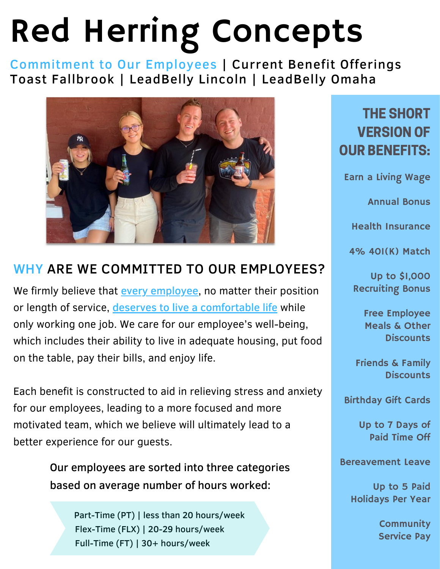# Red Herring Concepts

Commitment to Our Employees | Current Benefit Offerings Toast Fallbrook | LeadBelly Lincoln | LeadBelly Omaha



#### WHY ARE WE COMMITTED TO OUR EMPLOYEES?

We firmly believe that **every employee**, no matter their position or length of service, deserves to live a comfortable life while only working one job. We care for our employee's well-being, which includes their ability to live in adequate housing, put food on the table, pay their bills, and enjoy life.

Each benefit is constructed to aid in relieving stress and anxiety for our employees, leading to a more focused and more motivated team, which we believe will ultimately lead to a better experience for our guests.

> Our employees are sorted into three categories based on average number of hours worked:

Part-Time (PT) | less than 20 hours/week Flex-Time (FLX) | 20-29 hours/week Full-Time (FT) | 30+ hours/week

#### THE SHORT VERSION OF OUR BENEFITS:

Earn a Living Wage

Annual Bonus

Health Insurance

4% 401(K) Match

Up to \$1,000 Recruiting Bonus

> Free Employee Meals & Other **Discounts**

Friends & Family **Discounts** 

Birthday Gift Cards

Up to 7 Days of Paid Time Off

Bereavement Leave

Up to 5 Paid Holidays Per Year

> **Community** Service Pay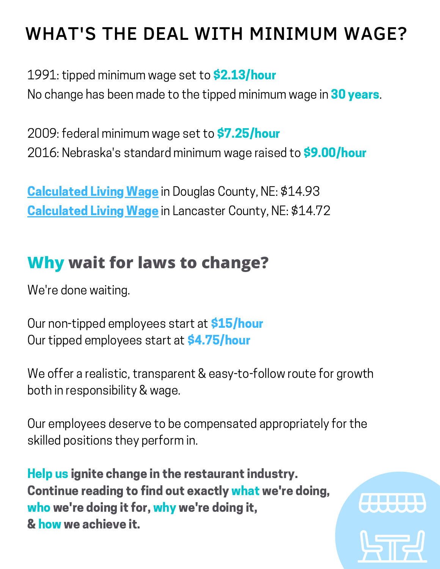### WHAT'S THE DEAL WITH MINIMUM WAGE?

1991: tipped minimum wage set to **\$2.13/hour** 

No change has been made to the tipped minimum wage in 30 years.

2009: federal minimum wage set to \$7.25/hour 2016: Nebraska's standard minimum wage raised to **\$9.00/hour** 

**Calculated Living Wage** in Douglas County, NE: \$14.93 Calculated Living Wage in Lancaster County, NE: \$14.72

### **Why wait for laws to change?**

We're done waiting.

Our non-tipped employees start at **\$15/hour** Our tipped employees start at **\$4.75/hour** 

We offer a realistic, transparent & easy-to-follow route for growth both in responsibility & wage.

Our employees deserve to be compensated appropriately for the skilled positions they perform in.

Help us ignite change in the restaurant industry. Continue reading to find out exactly what we're doing, who we're doing it for, why we're doing it, & how we achieve it.

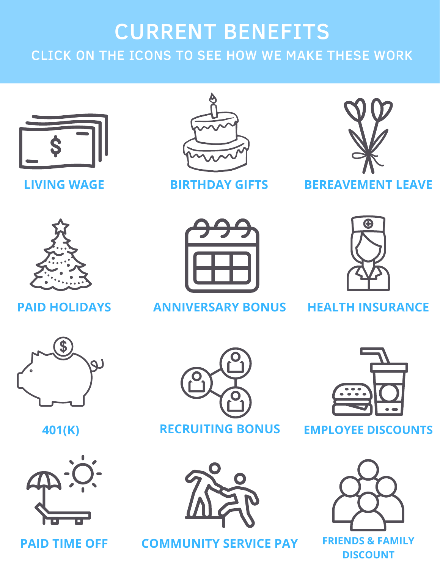### CURRENT BENEFITS CLICK ON THE ICONS TO SEE HOW WE MAKE THESE WORK



**LIVING WAGE**



**BIRTHDAY GIFTS**



#### **BEREAVEMENT LEAVE**



#### **PAID HOLIDAYS**



**HEALTH INSURANCE**



**401(K)**



#### **PAID TIME OFF**



**RECRUITING BONUS**



**COMMUNITY SERVICE PAY**



#### **EMPLOYEE DISCOUNTS**



**FRIENDS & FAMILY DISCOUNT**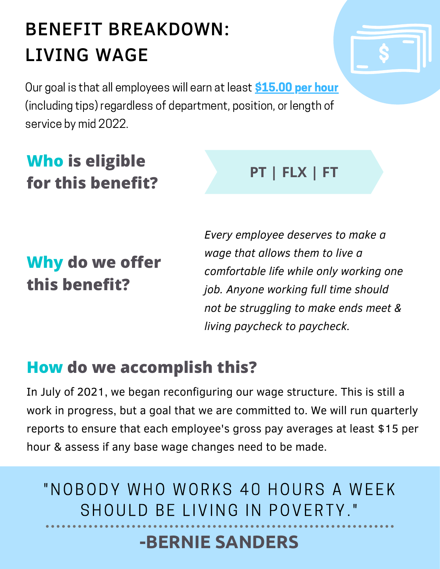### BENEFIT BREAKDOWN: LIVING WAGE

Our goal is that all employees will earn at least **\$15.00 per hour** (including tips) regardless of department, position, or length of service by mid 2022.

### **Who is eligible for this benefit?**

### **Why do we offer this benefit?**

*Every employee deserves to make a wage that allows them to live a comfortable life while only working one job. Anyone working full time should not be struggling to make ends meet & living paycheck to paycheck.*

**PT | FLX | FT**

### **How do we accomplish this?**

In July of 2021, we began reconfiguring our wage structure. This is still a work in progress, but a goal that we are committed to. We will run quarterly reports to ensure that each employee's gross pay averages at least \$15 per hour & assess if any base wage changes need to be made.

"NOBODY WHO WORKS 40 HOURS A WEEK SHOULD BE LIVING IN POVERTY."

### **-BERNIE SANDERS**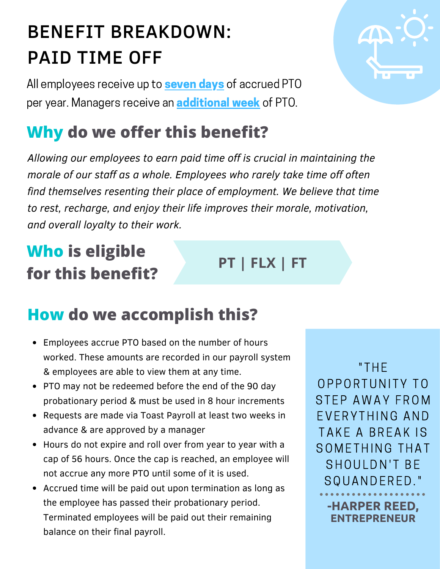### BENEFIT BREAKDOWN: PAID TIME OFF

All employees receive up to **seven days** of accrued PTO per year. Managers receive an **additional week** of PTO.

### **Why do we offer this benefit?**

*Allowing our employees to earn paid time off is crucial in maintaining the morale of our staff as a whole. Employees who rarely take time off often find themselves resenting their place of employment. We believe that time to rest, recharge, and enjoy their life improves their morale, motivation, and overall loyalty to their work.*

### **Who is eligible for this benefit?**

### **How do we accomplish this?**

- Employees accrue PTO based on the number of hours worked. These amounts are recorded in our payroll system & employees are able to view them at any time.
- PTO may not be redeemed before the end of the 90 day probationary period & must be used in 8 hour increments
- Requests are made via Toast Payroll at least two weeks in advance & are approved by a manager
- Hours do not expire and roll over from year to year with a cap of 56 hours. Once the cap is reached, an employee will not accrue any more PTO until some of it is used.
- Accrued time will be paid out upon termination as long as the employee has passed their probationary period. Terminated employees will be paid out their remaining balance on their final payroll.

" THE OPPORTUNITY TO STEP AWAY FROM EVERYTHING AND TAKE A BREAK IS SOMETHING THAT SHOULDN'T BE SQUANDERED."

> **-HARPER REED, ENTREPRENEUR**



**PT | FLX | FT**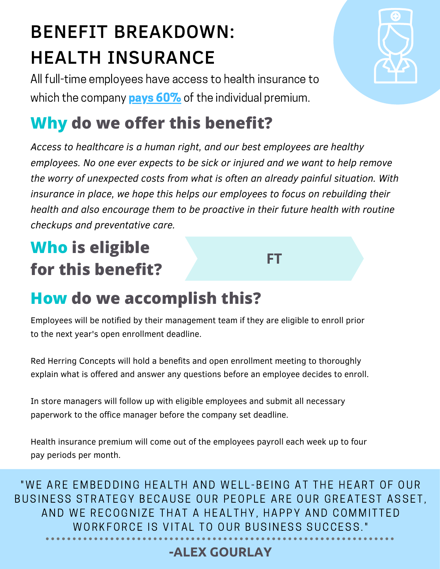### BENEFIT BREAKDOWN: HEALTH INSURANCE

All full-time employees have access to health insurance to which the company **pays 60%** of the individual premium.

### **Why do we offer this benefit?**

*Access to healthcare is a human right, and our best employees are healthy employees. No one ever expects to be sick or injured and we want to help remove the worry of unexpected costs from what is often an already painful situation. With insurance in place, we hope this helps our employees to focus on rebuilding their health and also encourage them to be proactive in their future health with routine checkups and preventative care.*

**FT**

### **Who is eligible for this benefit?**

### **How do we accomplish this?**

Employees will be notified by their management team if they are eligible to enroll prior to the next year's open enrollment deadline.

Red Herring Concepts will hold a benefits and open enrollment meeting to thoroughly explain what is offered and answer any questions before an employee decides to enroll.

In store managers will follow up with eligible employees and submit all necessary paperwork to the office manager before the company set deadline.

Health insurance premium will come out of the employees payroll each week up to four pay periods per month.

"WE ARE EMBEDDING HEALTH AND WELL-BEING AT THE HEART OF OUR BUSINESS STRATEGY BECAUSE OUR PEOPLE ARE OUR GREATEST ASSET, AND WE RECOGNIZE THAT A HEALTHY, HAPPY AND COMMITTED WORKFORCE IS VITAL TO OUR BUSINESS SUCCESS."

#### **-ALEX GOURLAY**

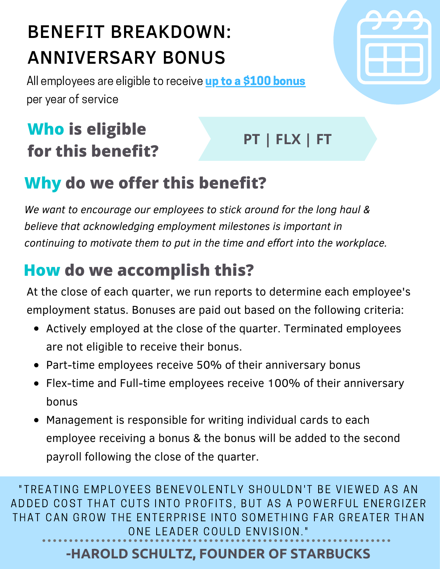### BENEFIT BREAKDOWN: ANNIVERSARY BONUS

All employees are eligible to receive up to a \$100 bonus per year of service

### **Who is eligible for this benefit?**

**PT | FLX | FT**

### **Why do we offer this benefit?**

*We want to encourage our employees to stick around for the long haul & believe that acknowledging employment milestones is important in continuing to motivate them to put in the time and effort into the workplace.*

### **How do we accomplish this?**

At the close of each quarter, we run reports to determine each employee's employment status. Bonuses are paid out based on the following criteria:

- Actively employed at the close of the quarter. Terminated employees are not eligible to receive their bonus.
- Part-time employees receive 50% of their anniversary bonus  $\bullet$
- Flex-time and Full-time employees receive 100% of their anniversary bonus
- Management is responsible for writing individual cards to each  $\bullet$ employee receiving a bonus & the bonus will be added to the second payroll following the close of the quarter.

"TREATING EMPLOYEES BENEVOLENTLY SHOULDN'T BE VIEWED AS AN ADDED COST THAT CUTS INTO PROFITS, BUT AS A POWERFUL ENERGIZER THAT CAN GROW THE ENTERPRISE INTO SOMETHING FAR GREATER THAN ONE LEADER COULD ENVISION."

#### **-HAROLD SCHULTZ, FOUNDER OF STARBUCKS**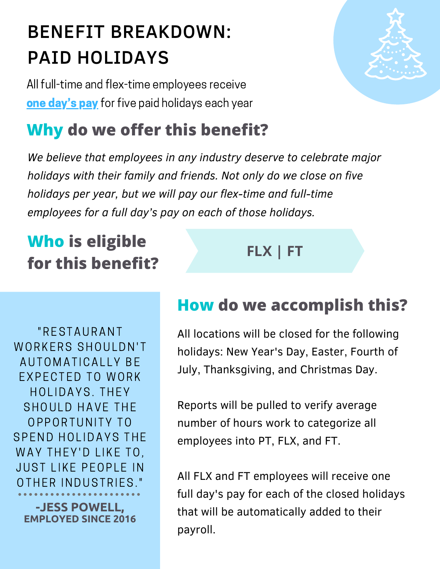## BENEFIT BREAKDOWN: PAID HOLIDAYS

All full-time and flex-time employees receive one day's pay for five paid holidays each year

### **Why do we offer this benefit?**

*We believe that employees in any industry deserve to celebrate major holidays with their family and friends. Not only do we close on five holidays per year, but we will pay our flex-time and full-time employees for a full day's pay on each of those holidays.*

### **Who is eligible for this benefit?**

### **FLX | FT**

" R ESTAURANT WORKERS SHOULDN'T AUTOMATICALLY BE EXPECTED TO WORK HOLIDAYS. THEY SHOULD HAVE THE OPPORTUNITY TO SPEND HOLIDAYS THE WAY THEY'D LIKE TO, **JUST LIKE PEOPLE IN** OTHER INDUSTRIES."

**-JESS POWELL, EMPLOYED SINCE 2016**

#### **How do we accomplish this?**

All locations will be closed for the following holidays: New Year's Day, Easter, Fourth of July, Thanksgiving, and Christmas Day.

Reports will be pulled to verify average number of hours work to categorize all employees into PT, FLX, and FT.

All FLX and FT employees will receive one full day's pay for each of the closed holidays that will be automatically added to their payroll.

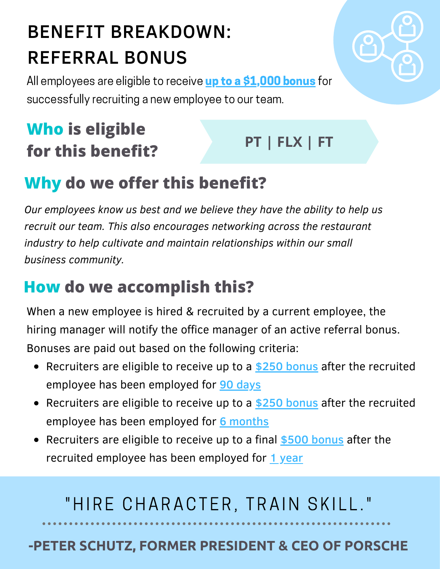## BENEFIT BREAKDOWN: REFERRAL BONUS

All employees are eligible to receive up to a \$1,000 bonus for successfully recruiting a new employee to our team.

### **Who is eligible for this benefit?**

### **PT | FLX | FT**

### **Why do we offer this benefit?**

*Our employees know us best and we believe they have the ability to help us recruit our team. This also encourages networking across the restaurant industry to help cultivate and maintain relationships within our small business community.*

### **How do we accomplish this?**

When a new employee is hired & recruited by a current employee, the hiring manager will notify the office manager of an active referral bonus. Bonuses are paid out based on the following criteria:

- Recruiters are eligible to receive up to a \$250 bonus after the recruited employee has been employed for 90 days
- Recruiters are eligible to receive up to a \$250 bonus after the recruited employee has been employed for 6 months
- Recruiters are eligible to receive up to a final \$500 bonus after the recruited employee has been employed for 1 year

### "HIRE CHARACTER, TRAIN SKILL."

#### **-PETER SCHUTZ, FORMER PRESIDENT & CEO OF PORSCHE**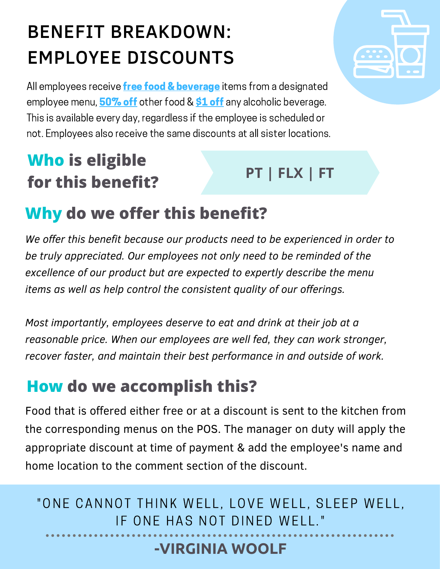## BENEFIT BREAKDOWN: EMPLOYEE DISCOUNTS

All employees receive **free food & beverage** items from a designated employee menu, 50% off other food & \$1 off any alcoholic beverage. This is available every day, regardless if the employee is scheduled or not. Employees also receive the same discounts at all sister locations.

### **Who is eligible for this benefit?**

### **PT | FLX | FT**

### **Why do we offer this benefit?**

*We offer this benefit because our products need to be experienced in order to be truly appreciated. Our employees not only need to be reminded of the excellence of our product but are expected to expertly describe the menu items as well as help control the consistent quality of our offerings.*

*Most importantly, employees deserve to eat and drink at their job at a reasonable price. When our employees are well fed, they can work stronger, recover faster, and maintain their best performance in and outside of work.*

### **How do we accomplish this?**

Food that is offered either free or at a discount is sent to the kitchen from the corresponding menus on the POS. The manager on duty will apply the appropriate discount at time of payment & add the employee's name and home location to the comment section of the discount.

"ONE CANNOT THINK WELL, LOVE WELL, SLEEP WELL, IF ONE HAS NOT DINED WELL."

#### **-VIRGINIA WOOLF**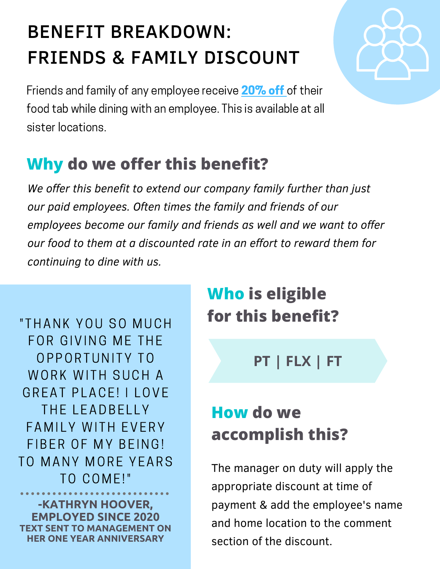## BENEFIT BREAKDOWN: FRIENDS & FAMILY DISCOUNT



Friends and family of any employee receive 20% off of their food tab while dining with an employee. This is available at all sister locations.

### **Why do we offer this benefit?**

*We offer this benefit to extend our company family further than just our paid employees. Often times the family and friends of our employees become our family and friends as well and we want to offer our food to them at a discounted rate in an effort to reward them for continuing to dine with us.*

" THANK YOU SO MUCH FOR GIVING ME THE OPPORTUNITY TO WORK WITH SUCH A GREAT PLACE! I LOVE THE LEADBELLY FAMILY WITH EVERY FIBER OF MY BEING! TO MANY MORE YEARS TO COME!"

**-KATHRYN HOOVER, EMPLOYED SINCE 2020 TEXT SENT TO MANAGEMENT ON HER ONE YEAR ANNIVERSARY**

### **Who is eligible for this benefit?**

**PT | FLX | FT**

### **How do we accomplish this?**

The manager on duty will apply the appropriate discount at time of payment & add the employee's name and home location to the comment section of the discount.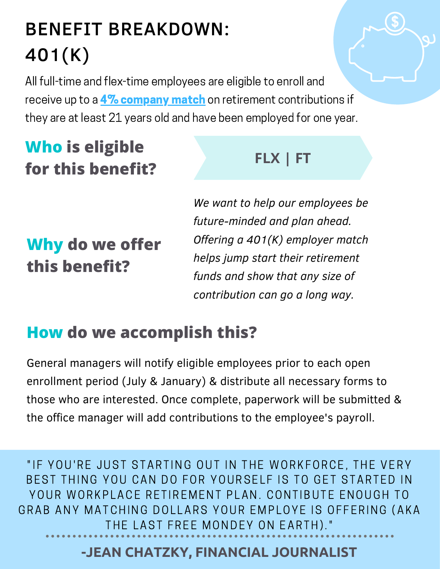### BENEFIT BREAKDOWN: 401(K)

All full-time and flex-time employees are eligible to enroll and receive up to a 4% company match on retirement contributions if they are at least 21 years old and have been employed for one year.

### **Who is eligible for this benefit?**

#### **FLX | FT**

### **Why do we offer this benefit?**

*We want to help our employees be future-minded and plan ahead. Offering a 401(K) employer match helps jump start their retirement funds and show that any size of contribution can go a long way.*

### **How do we accomplish this?**

General managers will notify eligible employees prior to each open enrollment period (July & January) & distribute all necessary forms to those who are interested. Once complete, paperwork will be submitted & the office manager will add contributions to the employee's payroll.

"IF YOU'RE JUST STARTING OUT IN THE WORKFORCE, THE VERY BEST THING YOU CAN DO FOR YOURSELF IS TO GET STARTED IN YOUR WORKPLACE RETIREMENT PLAN. CONTIBUTE ENOUGH TO GRAB ANY MATCHING DOLLARS YOUR EMPLOYE IS OFFERING (AKA THE LAST FREE MONDEY ON EARTH)."

#### **-JEAN CHATZKY, FINANCIAL JOURNALIST**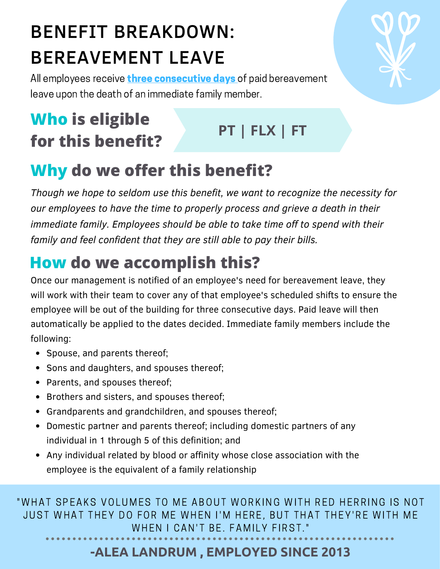### BENEFIT BREAKDOWN: BEREAVEMENT LEAVE

All employees receive **three consecutive days** of paid bereavement leave upon the death of an immediate family member.

### **Who is eligible for this benefit?**

### **PT | FLX | FT**

### **Why do we offer this benefit?**

*Though we hope to seldom use this benefit, we want to recognize the necessity for our employees to have the time to properly process and grieve a death in their immediate family. Employees should be able to take time off to spend with their family and feel confident that they are still able to pay their bills.*

### **How do we accomplish this?**

Once our management is notified of an employee's need for bereavement leave, they will work with their team to cover any of that employee's scheduled shifts to ensure the employee will be out of the building for three consecutive days. Paid leave will then automatically be applied to the dates decided. Immediate family members include the following:

- Spouse, and parents thereof;
- Sons and daughters, and spouses thereof;
- Parents, and spouses thereof;
- Brothers and sisters, and spouses thereof;
- Grandparents and grandchildren, and spouses thereof;
- Domestic partner and parents thereof; including domestic partners of any individual in 1 through 5 of this definition; and
- Any individual related by blood or affinity whose close association with the employee is the equivalent of a family relationship

" WHAT SPEAKS VOLUMES TO ME ABOUT WORKING WITH RED HERRING IS NOT JUST WHAT THEY DO FOR ME WHEN I'M HERE, BUT THAT THEY'RE WITH ME WHEN I CAN'T BE. FAMILY FIRST."

#### **-ALEA LANDRUM , EMPLOYED SINCE 2013**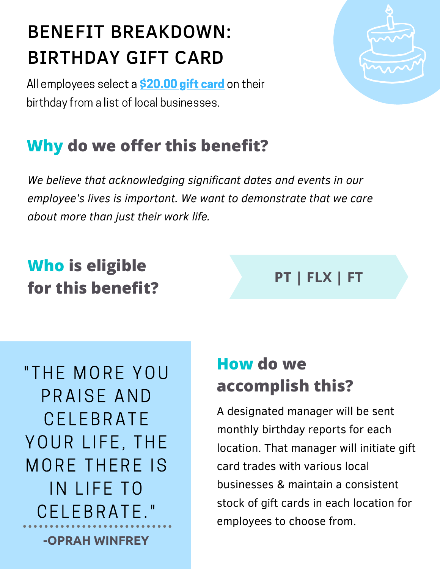## BENEFIT BREAKDOWN: BIRTHDAY GIFT CARD

All employees select a **\$20.00 gift card** on their birthday from a list of local businesses.

### **Why do we offer this benefit?**

*We believe that acknowledging significant dates and events in our employee's lives is important. We want to demonstrate that we care about more than just their work life.*

### **Who is eligible for this benefit?**

**-OPRAH WINFREY** " THE MORE YOU PRAISE AND **CELEBRATE** YOUR LIFE, THE MORE THERE IS IN LIFE TO CELEBRATE."

### **How do we accomplish this?**

A designated manager will be sent monthly birthday reports for each location. That manager will initiate gift card trades with various local businesses & maintain a consistent stock of gift cards in each location for employees to choose from.

**PT | FLX | FT**